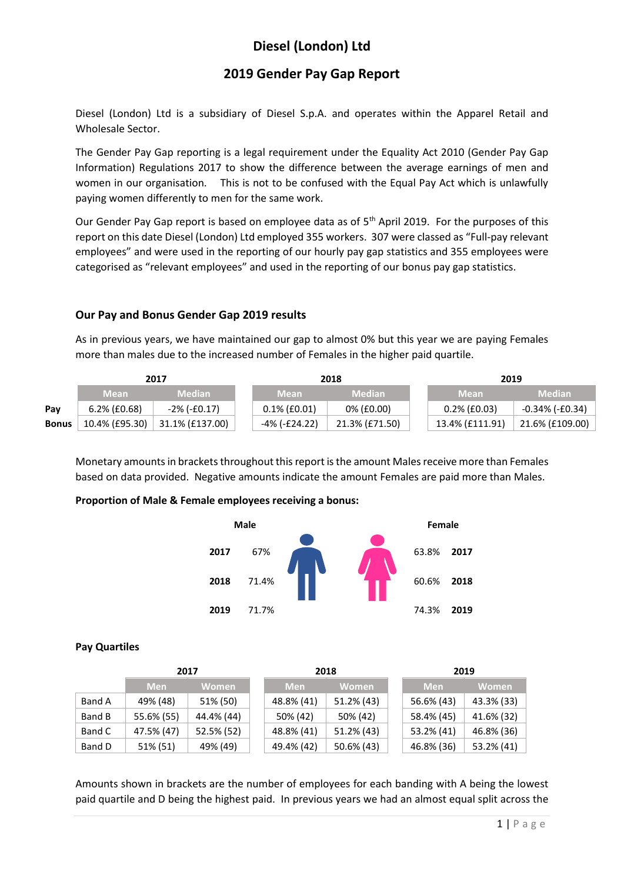# **Diesel (London) Ltd**

# **2019 Gender Pay Gap Report**

Diesel (London) Ltd is a subsidiary of Diesel S.p.A. and operates within the Apparel Retail and Wholesale Sector.

The Gender Pay Gap reporting is a legal requirement under the Equality Act 2010 (Gender Pay Gap Information) Regulations 2017 to show the difference between the average earnings of men and women in our organisation. This is not to be confused with the Equal Pay Act which is unlawfully paying women differently to men for the same work.

Our Gender Pay Gap report is based on employee data as of 5<sup>th</sup> April 2019. For the purposes of this report on this date Diesel (London) Ltd employed 355 workers. 307 were classed as "Full-pay relevant employees" and were used in the reporting of our hourly pay gap statistics and 355 employees were categorised as "relevant employees" and used in the reporting of our bonus pay gap statistics.

# **Our Pay and Bonus Gender Gap 2019 results**

As in previous years, we have maintained our gap to almost 0% but this year we are paying Females more than males due to the increased number of Females in the higher paid quartile.

|              | 2017            |                         |                 | 2018           |  |                 | 2019            |  |  |
|--------------|-----------------|-------------------------|-----------------|----------------|--|-----------------|-----------------|--|--|
|              | <b>Mean</b>     | <b>Median</b>           | <b>Mean</b>     | <b>Median</b>  |  | <b>Mean</b>     | <b>Median</b>   |  |  |
| Pav          | $6.2\%$ (£0.68) | $-2\%$ (-£0.17)         | $0.1\%$ (£0.01) | 0% (£0.00)     |  | $0.2\%$ (£0.03) | -0.34% (-£0.34) |  |  |
| <b>Bonus</b> | 10.4% (£95.30)  | $\vert$ 31.1% (£137.00) | -4% (-£24.22)   | 21.3% (£71.50) |  | 13.4% (£111.91) | 21.6% (£109.00) |  |  |

Monetary amounts in brackets throughout this report is the amount Males receive more than Females based on data provided. Negative amounts indicate the amount Females are paid more than Males.

# **Proportion of Male & Female employees receiving a bonus:**



# **Pay Quartiles**

|        | 2017       |              |  | 2018       |              |  | 2019       |              |  |
|--------|------------|--------------|--|------------|--------------|--|------------|--------------|--|
|        | <b>Men</b> | <b>Women</b> |  | <b>Men</b> | <b>Women</b> |  | <b>Men</b> | <b>Women</b> |  |
| Band A | 49% (48)   | 51% (50)     |  | 48.8% (41) | 51.2% (43)   |  | 56.6% (43) | 43.3% (33)   |  |
| Band B | 55.6% (55) | 44.4% (44)   |  | 50% (42)   | 50% (42)     |  | 58.4% (45) | 41.6% (32)   |  |
| Band C | 47.5% (47) | 52.5% (52)   |  | 48.8% (41) | 51.2% (43)   |  | 53.2% (41) | 46.8% (36)   |  |
| Band D | 51% (51)   | 49% (49)     |  | 49.4% (42) | 50.6% (43)   |  | 46.8% (36) | 53.2% (41)   |  |

Amounts shown in brackets are the number of employees for each banding with A being the lowest paid quartile and D being the highest paid. In previous years we had an almost equal split across the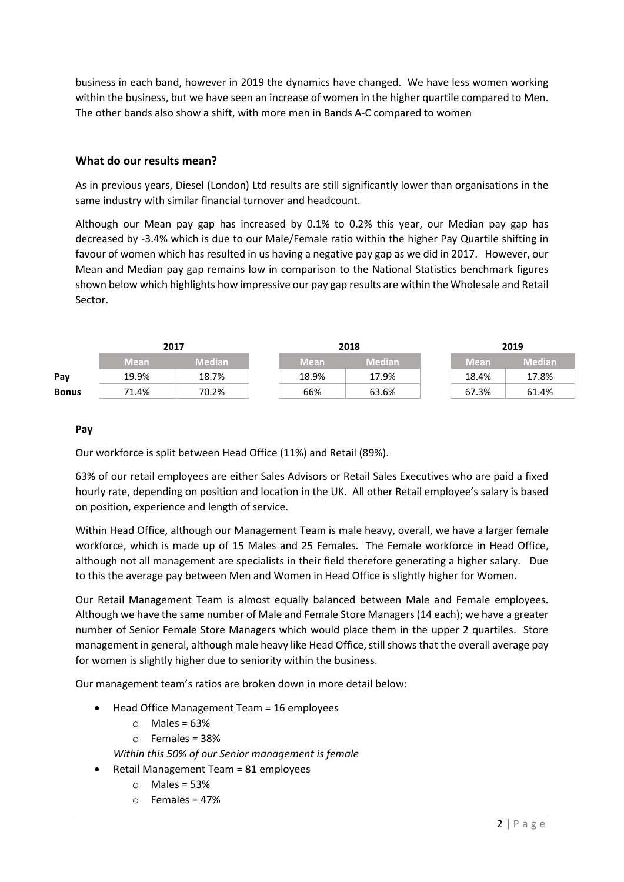business in each band, however in 2019 the dynamics have changed. We have less women working within the business, but we have seen an increase of women in the higher quartile compared to Men. The other bands also show a shift, with more men in Bands A-C compared to women

#### **What do our results mean?**

As in previous years, Diesel (London) Ltd results are still significantly lower than organisations in the same industry with similar financial turnover and headcount.

Although our Mean pay gap has increased by 0.1% to 0.2% this year, our Median pay gap has decreased by -3.4% which is due to our Male/Female ratio within the higher Pay Quartile shifting in favour of women which has resulted in us having a negative pay gap as we did in 2017. However, our Mean and Median pay gap remains low in comparison to the National Statistics benchmark figures shown below which highlights how impressive our pay gap results are within the Wholesale and Retail Sector.

|              | 2017        |               |             | 2018          | 2019        |               |  |
|--------------|-------------|---------------|-------------|---------------|-------------|---------------|--|
|              | <b>Mean</b> | <b>Median</b> | <b>Mean</b> | <b>Median</b> | <b>Mean</b> | <b>Median</b> |  |
| Pay          | 19.9%       | 18.7%         | 18.9%       | 17.9%         | 18.4%       | 17.8%         |  |
| <b>Bonus</b> | 71.4%       | 70.2%         | 66%         | 63.6%         | 67.3%       | 61.4%         |  |

#### **Pay**

Our workforce is split between Head Office (11%) and Retail (89%).

63% of our retail employees are either Sales Advisors or Retail Sales Executives who are paid a fixed hourly rate, depending on position and location in the UK. All other Retail employee's salary is based on position, experience and length of service.

Within Head Office, although our Management Team is male heavy, overall, we have a larger female workforce, which is made up of 15 Males and 25 Females. The Female workforce in Head Office, although not all management are specialists in their field therefore generating a higher salary. Due to this the average pay between Men and Women in Head Office is slightly higher for Women.

Our Retail Management Team is almost equally balanced between Male and Female employees. Although we have the same number of Male and Female Store Managers(14 each); we have a greater number of Senior Female Store Managers which would place them in the upper 2 quartiles. Store management in general, although male heavy like Head Office, still shows that the overall average pay for women is slightly higher due to seniority within the business.

Our management team's ratios are broken down in more detail below:

- Head Office Management Team = 16 employees
	- $\circ$  Males = 63%
	- $\circ$  Females = 38%

*Within this 50% of our Senior management is female*

- Retail Management Team = 81 employees
	- $\circ$  Males = 53%
	- $\circ$  Females = 47%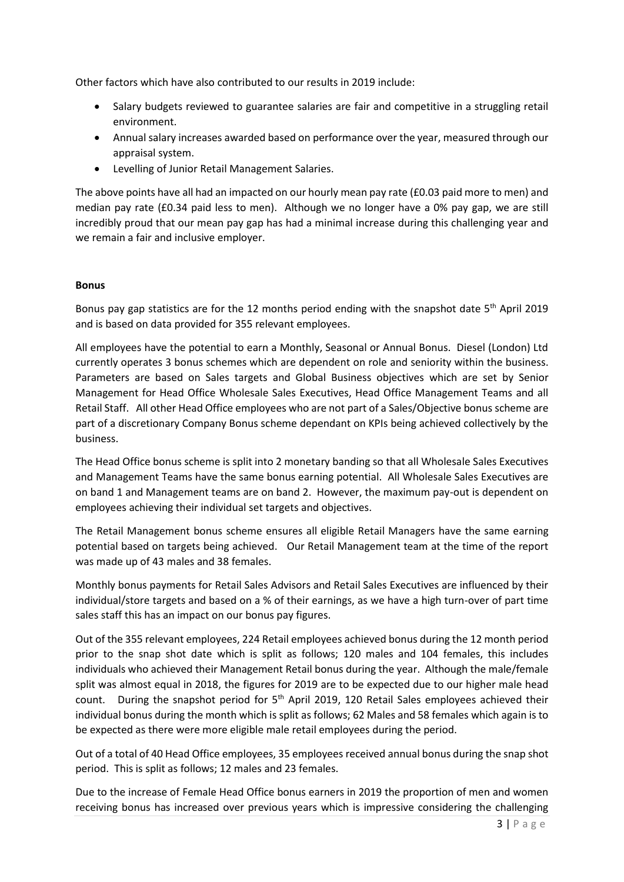Other factors which have also contributed to our results in 2019 include:

- Salary budgets reviewed to guarantee salaries are fair and competitive in a struggling retail environment.
- Annual salary increases awarded based on performance over the year, measured through our appraisal system.
- Levelling of Junior Retail Management Salaries.

The above points have all had an impacted on our hourly mean pay rate (£0.03 paid more to men) and median pay rate (£0.34 paid less to men). Although we no longer have a 0% pay gap, we are still incredibly proud that our mean pay gap has had a minimal increase during this challenging year and we remain a fair and inclusive employer.

#### **Bonus**

Bonus pay gap statistics are for the 12 months period ending with the snapshot date  $5<sup>th</sup>$  April 2019 and is based on data provided for 355 relevant employees.

All employees have the potential to earn a Monthly, Seasonal or Annual Bonus. Diesel (London) Ltd currently operates 3 bonus schemes which are dependent on role and seniority within the business. Parameters are based on Sales targets and Global Business objectives which are set by Senior Management for Head Office Wholesale Sales Executives, Head Office Management Teams and all Retail Staff. All other Head Office employees who are not part of a Sales/Objective bonus scheme are part of a discretionary Company Bonus scheme dependant on KPIs being achieved collectively by the business.

The Head Office bonus scheme is split into 2 monetary banding so that all Wholesale Sales Executives and Management Teams have the same bonus earning potential. All Wholesale Sales Executives are on band 1 and Management teams are on band 2. However, the maximum pay-out is dependent on employees achieving their individual set targets and objectives.

The Retail Management bonus scheme ensures all eligible Retail Managers have the same earning potential based on targets being achieved. Our Retail Management team at the time of the report was made up of 43 males and 38 females.

Monthly bonus payments for Retail Sales Advisors and Retail Sales Executives are influenced by their individual/store targets and based on a % of their earnings, as we have a high turn-over of part time sales staff this has an impact on our bonus pay figures.

Out of the 355 relevant employees, 224 Retail employees achieved bonus during the 12 month period prior to the snap shot date which is split as follows; 120 males and 104 females, this includes individuals who achieved their Management Retail bonus during the year. Although the male/female split was almost equal in 2018, the figures for 2019 are to be expected due to our higher male head count. During the snapshot period for 5<sup>th</sup> April 2019, 120 Retail Sales employees achieved their individual bonus during the month which is split as follows; 62 Males and 58 females which again is to be expected as there were more eligible male retail employees during the period.

Out of a total of 40 Head Office employees, 35 employees received annual bonus during the snap shot period. This is split as follows; 12 males and 23 females.

Due to the increase of Female Head Office bonus earners in 2019 the proportion of men and women receiving bonus has increased over previous years which is impressive considering the challenging